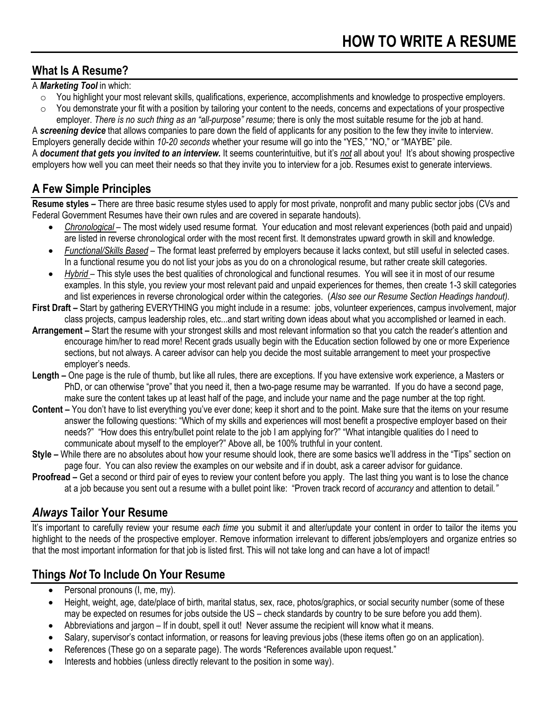## **What Is A Resume?**

#### A *Marketing Tool* in which:

- $\circ$  You highlight your most relevant skills, qualifications, experience, accomplishments and knowledge to prospective employers.
- $\circ$  You demonstrate your fit with a position by tailoring your content to the needs, concerns and expectations of your prospective employer. *There is no such thing as an "all-purpose" resume;* there is only the most suitable resume for the job at hand.

A *screening device* that allows companies to pare down the field of applicants for any position to the few they invite to interview. Employers generally decide within *10-20 seconds* whether your resume will go into the "YES," "NO," or "MAYBE" pile. A *document that gets you invited to an interview.* It seems counterintuitive, but it's *not* all about you! It's about showing prospective employers how well you can meet their needs so that they invite you to interview for a job. Resumes exist to generate interviews.

## **A Few Simple Principles**

**Resume styles –** There are three basic resume styles used to apply for most private, nonprofit and many public sector jobs (CVs and Federal Government Resumes have their own rules and are covered in separate handouts).

- *Chronological* The most widely used resume format. Your education and most relevant experiences (both paid and unpaid) are listed in reverse chronological order with the most recent first. It demonstrates upward growth in skill and knowledge.
- *Functional/Skills Based* The format least preferred by employers because it lacks context, but still useful in selected cases. In a functional resume you do not list your jobs as you do on a chronological resume, but rather create skill categories.
- *Hybrid* This style uses the best qualities of chronological and functional resumes. You will see it in most of our resume examples. In this style, you review your most relevant paid and unpaid experiences for themes, then create 1-3 skill categories and list experiences in reverse chronological order within the categories. (*Also see our Resume Section Headings handout).*
- **First Draft –** Start by gathering EVERYTHING you might include in a resume: jobs, volunteer experiences, campus involvement, major class projects, campus leadership roles, etc...and start writing down ideas about what you accomplished or learned in each.
- **Arrangement –** Start the resume with your strongest skills and most relevant information so that you catch the reader's attention and encourage him/her to read more! Recent grads usually begin with the Education section followed by one or more Experience sections, but not always. A career advisor can help you decide the most suitable arrangement to meet your prospective employer's needs.
- **Length –** One page is the rule of thumb, but like all rules, there are exceptions. If you have extensive work experience, a Masters or PhD, or can otherwise "prove" that you need it, then a two-page resume may be warranted. If you do have a second page, make sure the content takes up at least half of the page, and include your name and the page number at the top right.
- **Content –** You don't have to list everything you've ever done; keep it short and to the point. Make sure that the items on your resume answer the following questions: "Which of my skills and experiences will most benefit a prospective employer based on their needs?" "How does this entry/bullet point relate to the job I am applying for?" "What intangible qualities do I need to communicate about myself to the employer?" Above all, be 100% truthful in your content.
- **Style –** While there are no absolutes about how your resume should look, there are some basics we'll address in the "Tips" section on page four. You can also review the examples on our website and if in doubt, ask a career advisor for guidance.
- **Proofread –** Get a second or third pair of eyes to review your content before you apply. The last thing you want is to lose the chance at a job because you sent out a resume with a bullet point like: "Proven track record of *accurancy* and attention to detail*."*

## *Always* **Tailor Your Resume**

It's important to carefully review your resume *each time* you submit it and alter/update your content in order to tailor the items you highlight to the needs of the prospective employer. Remove information irrelevant to different jobs/employers and organize entries so that the most important information for that job is listed first. This will not take long and can have a lot of impact!

## **Things** *Not* **To Include On Your Resume**

- Personal pronouns (I, me, my).
- Height, weight, age, date/place of birth, marital status, sex, race, photos/graphics, or social security number (some of these may be expected on resumes for jobs outside the US – check standards by country to be sure before you add them).
- Abbreviations and jargon If in doubt, spell it out! Never assume the recipient will know what it means.
- Salary, supervisor's contact information, or reasons for leaving previous jobs (these items often go on an application).
- References (These go on a separate page). The words "References available upon request."
- Interests and hobbies (unless directly relevant to the position in some way).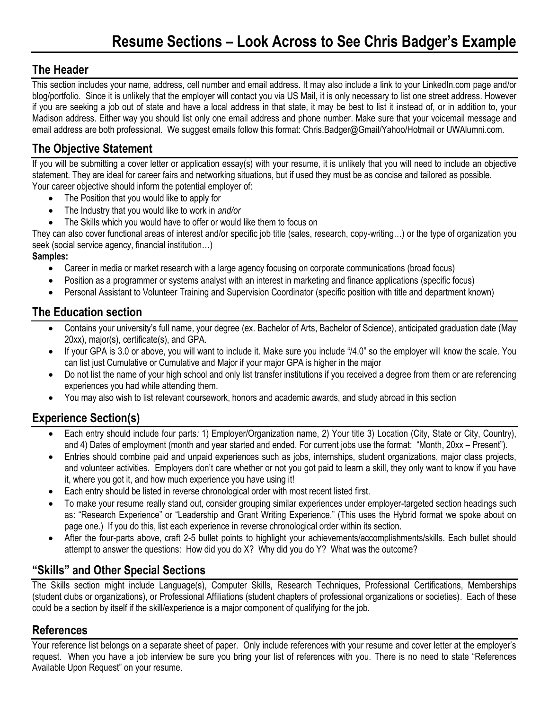## **The Header**

This section includes your name, address, cell number and email address. It may also include a link to your LinkedIn.com page and/or blog/portfolio. Since it is unlikely that the employer will contact you via US Mail, it is only necessary to list one street address. However if you are seeking a job out of state and have a local address in that state, it may be best to list it instead of, or in addition to, your Madison address. Either way you should list only one email address and phone number. Make sure that your voicemail message and email address are both professional. We suggest emails follow this format: Chris.Badger@Gmail/Yahoo/Hotmail or UWAlumni.com.

## **The Objective Statement**

If you will be submitting a cover letter or application essay(s) with your resume, it is unlikely that you will need to include an objective statement. They are ideal for career fairs and networking situations, but if used they must be as concise and tailored as possible. Your career objective should inform the potential employer of:

- The Position that you would like to apply for
- The Industry that you would like to work in *and/or*
- The Skills which you would have to offer or would like them to focus on

They can also cover functional areas of interest and/or specific job title (sales, research, copy-writing…) or the type of organization you seek (social service agency, financial institution…)

### **Samples:**

- Career in media or market research with a large agency focusing on corporate communications (broad focus)
- Position as a programmer or systems analyst with an interest in marketing and finance applications (specific focus)
- Personal Assistant to Volunteer Training and Supervision Coordinator (specific position with title and department known)

## **The Education section**

- Contains your university's full name, your degree (ex. Bachelor of Arts, Bachelor of Science), anticipated graduation date (May 20xx), major(s), certificate(s), and GPA.
- If your GPA is 3.0 or above, you will want to include it. Make sure you include "/4.0" so the employer will know the scale. You can list just Cumulative or Cumulative and Major if your major GPA is higher in the major
- Do not list the name of your high school and only list transfer institutions if you received a degree from them or are referencing experiences you had while attending them.
- You may also wish to list relevant coursework, honors and academic awards, and study abroad in this section

## **Experience Section(s)**

- Each entry should include four parts*:* 1) Employer/Organization name, 2) Your title 3) Location (City, State or City, Country), and 4) Dates of employment (month and year started and ended. For current jobs use the format: "Month, 20xx – Present").
- Entries should combine paid and unpaid experiences such as jobs, internships, student organizations, major class projects, and volunteer activities. Employers don't care whether or not you got paid to learn a skill, they only want to know if you have it, where you got it, and how much experience you have using it!
- Each entry should be listed in reverse chronological order with most recent listed first.
- To make your resume really stand out, consider grouping similar experiences under employer-targeted section headings such as: "Research Experience" or "Leadership and Grant Writing Experience." (This uses the Hybrid format we spoke about on page one.) If you do this, list each experience in reverse chronological order within its section.
- After the four-parts above, craft 2-5 bullet points to highlight your achievements/accomplishments/skills. Each bullet should attempt to answer the questions: How did you do X? Why did you do Y? What was the outcome?

## **"Skills" and Other Special Sections**

The Skills section might include Language(s), Computer Skills, Research Techniques, Professional Certifications, Memberships (student clubs or organizations), or Professional Affiliations (student chapters of professional organizations or societies). Each of these could be a section by itself if the skill/experience is a major component of qualifying for the job.

## **References**

Your reference list belongs on a separate sheet of paper. Only include references with your resume and cover letter at the employer's request. When you have a job interview be sure you bring your list of references with you. There is no need to state "References Available Upon Request" on your resume.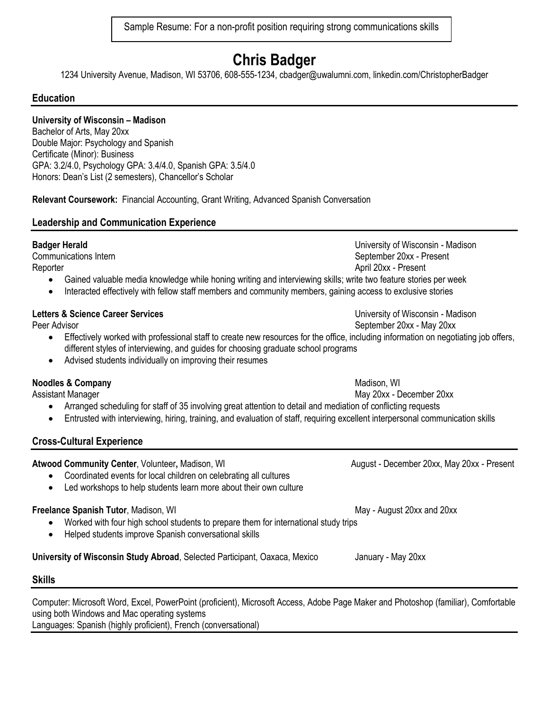Sample Resume: For a non-profit position requiring strong communications skills

# **Chris Badger**

1234 University Avenue, Madison, WI 53706, 608-555-1234, cbadger@uwalumni.com, linkedin.com/ChristopherBadger

#### **Education**

#### **University of Wisconsin – Madison**

Bachelor of Arts, May 20xx Double Major: Psychology and Spanish Certificate (Minor): Business GPA: 3.2/4.0, Psychology GPA: 3.4/4.0, Spanish GPA: 3.5/4.0 Honors: Dean's List (2 semesters), Chancellor's Scholar

**Relevant Coursework:** Financial Accounting, Grant Writing, Advanced Spanish Conversation

#### **Leadership and Communication Experience**

Reporter April 20xx - Present

- Gained valuable media knowledge while honing writing and interviewing skills; write two feature stories per week
- Interacted effectively with fellow staff members and community members, gaining access to exclusive stories

#### **Letters & Science Career Services** Number 2012 12:30 Number 2014 12:30 University of Wisconsin - Madison

- Effectively worked with professional staff to create new resources for the office, including information on negotiating job offers, different styles of interviewing, and guides for choosing graduate school programs
- Advised students individually on improving their resumes

#### **Noodles & Company** Madison, WI and Madison, WI and Madison, WI and Madison, WI and Madison, WI and Madison, WI and Madison, WI and Madison, WI and Madison, WI and Madison, WI and Madison, WI and Madison, WI and Madison, W

Assistant Manager May 20xx - December 20xx

- Arranged scheduling for staff of 35 involving great attention to detail and mediation of conflicting requests
- Entrusted with interviewing, hiring, training, and evaluation of staff, requiring excellent interpersonal communication skills

#### **Cross-Cultural Experience**

## Atwood Community Center, Volunteer, Madison, WI August - December 20xx, May 20xx - Present Coordinated events for local children on celebrating all cultures Led workshops to help students learn more about their own culture **Freelance Spanish Tutor**, Madison, WI May - August 20xx and 20xx Worked with four high school students to prepare them for international study trips Helped students improve Spanish conversational skills

**University of Wisconsin Study Abroad**, Selected Participant, Oaxaca, Mexico January - May 20xx

#### **Skills**

Computer: Microsoft Word, Excel, PowerPoint (proficient), Microsoft Access, Adobe Page Maker and Photoshop (familiar), Comfortable using both Windows and Mac operating systems Languages: Spanish (highly proficient), French (conversational)

**Badger Herald** Madison **Badger Herald** University of Wisconsin - Madison Communications Intern September 20xx - Present

Peer Advisor Network Charles and September 20xx - May 20xx - May 20xx